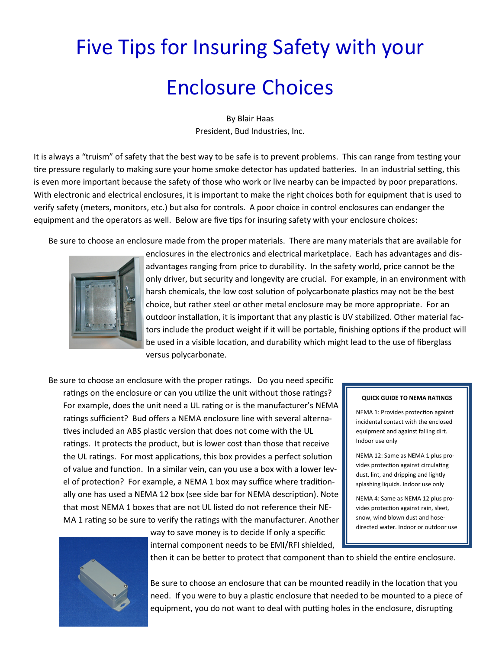## Five Tips for Insuring Safety with your Enclosure Choices

By Blair Haas President, Bud Industries, Inc.

It is always a "truism" of safety that the best way to be safe is to prevent problems. This can range from testing your tire pressure regularly to making sure your home smoke detector has updated batteries. In an industrial setting, this is even more important because the safety of those who work or live nearby can be impacted by poor preparations. With electronic and electrical enclosures, it is important to make the right choices both for equipment that is used to verify safety (meters, monitors, etc.) but also for controls. A poor choice in control enclosures can endanger the equipment and the operators as well. Below are five tips for insuring safety with your enclosure choices:

Be sure to choose an enclosure made from the proper materials. There are many materials that are available for



enclosures in the electronics and electrical marketplace. Each has advantages and disadvantages ranging from price to durability. In the safety world, price cannot be the only driver, but security and longevity are crucial. For example, in an environment with harsh chemicals, the low cost solution of polycarbonate plastics may not be the best choice, but rather steel or other metal enclosure may be more appropriate. For an outdoor installation, it is important that any plastic is UV stabilized. Other material factors include the product weight if it will be portable, finishing options if the product will be used in a visible location, and durability which might lead to the use of fiberglass versus polycarbonate.

Be sure to choose an enclosure with the proper ratings. Do you need specific ratings on the enclosure or can you utilize the unit without those ratings? For example, does the unit need a UL rating or is the manufacturer's NEMA ratings sufficient? Bud offers a NEMA enclosure line with several alternatives included an ABS plastic version that does not come with the UL ratings. It protects the product, but is lower cost than those that receive the UL ratings. For most applications, this box provides a perfect solution of value and function. In a similar vein, can you use a box with a lower level of protection? For example, a NEMA 1 box may suffice where traditionally one has used a NEMA 12 box (see side bar for NEMA description). Note that most NEMA 1 boxes that are not UL listed do not reference their NE-MA 1 rating so be sure to verify the ratings with the manufacturer. Another

way to save money is to decide If only a specific



NEMA 1: Provides protection against incidental contact with the enclosed equipment and against falling dirt. Indoor use only

NEMA 12: Same as NEMA 1 plus provides protection against circulating dust, lint, and dripping and lightly splashing liquids. Indoor use only

NEMA 4: Same as NEMA 12 plus provides protection against rain, sleet, snow, wind blown dust and hosedirected water. Indoor or outdoor use



internal component needs to be EMI/RFI shielded,

then it can be better to protect that component than to shield the entire enclosure.

Be sure to choose an enclosure that can be mounted readily in the location that you need. If you were to buy a plastic enclosure that needed to be mounted to a piece of equipment, you do not want to deal with putting holes in the enclosure, disrupting